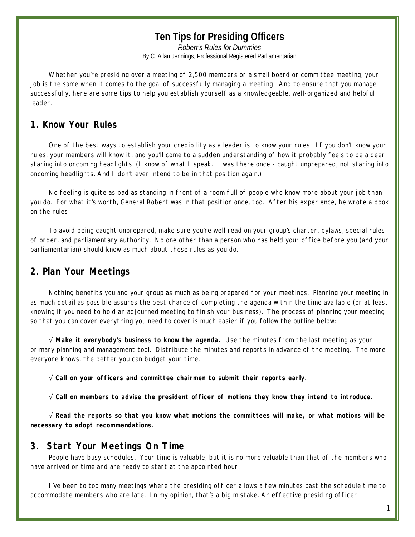# **Ten Tips for Presiding Officers**

*Robert's Rules for Dummies* By C. Allan Jennings, Professional Registered Parliamentarian

Whether you're presiding over a meeting of 2,500 members or a small board or committee meeting, your job is the same when it comes to the goal of successfully managing a meeting. And to ensure that you manage successfully, here are some tips to help you establish yourself as a knowledgeable, well-organized and helpful leader.

### **1. Know Your Rules**

One of the best ways to establish your credibility as a leader is to know your rules. If you don't know your rules, your members will know it, and you'll come to a sudden understanding of how it probably feels to be a deer staring into oncoming headlights. (I know of what I speak. I was there once - caught unprepared, not staring into oncoming headlights. And I don't ever intend to be in that position again.)

No feeling is quite as bad as standing in front of a room full of people who know more about your job than you do. For what it's worth, General Robert was in that position once, too. After his experience, he wrote a book on the rules!

To avoid being caught unprepared, make sure you're well read on your group's charter, bylaws, special rules of order, and parliamentary authority. No one other than a person who has held your office before you (and your parliamentarian) should know as much about these rules as you do.

# **2. Plan Your Meetings**

Nothing benefits you and your group as much as being prepared for your meetings. Planning your meeting in as much detail as possible assures the best chance of completing the agenda within the time available (or at least knowing if you need to hold an adjourned meeting to finish your business). The process of planning your meeting so that you can cover everything you need to cover is much easier if you follow the outline below:

**Ö Make it everybody's business to know the agenda.** Use the minutes from the last meeting as your primary planning and management tool. Distribute the minutes and reports in advance of the meeting. The more everyone knows, the better you can budget your time.

**Ö Call on your officers and committee chairmen to submit their reports early.**

**Ö Call on members to advise the president officer of motions they know they intend to introduce.**

**Ö Read the reports so that you know what motions the committees will make, or what motions will be necessary to adopt recommendations.**

#### **3. Start Your Meetings On Time**

People have busy schedules. Your time is valuable, but it is no more valuable than that of the members who have arrived on time and are ready to start at the appointed hour.

I've been to too many meetings where the presiding officer allows a few minutes past the schedule time to accommodate members who are late. In my opinion, that's a big mistake. An effective presiding officer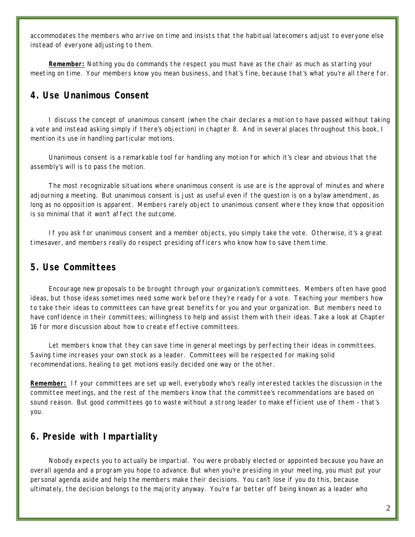accommodates the members who arrive on time and insists that the habitual latecomers adjust to everyone else instead of everyone adjusting to them.

**Remember:** Nothing you do commands the respect you must have as the chair as much as starting your meeting on time. Your members know you mean business, and that's fine, because that's what you're all there for.

## **4. Use Unanimous Consent**

I discuss the concept of *unanimous consent* (when the chair declares a motion to have passed without taking a vote and instead asking simply if there's objection) in chapter 8. And in several places throughout this book, I mention its use in handling particular motions.

Unanimous consent is a remarkable tool for handling any motion for which it's clear and obvious that the assembly's will is to pass the motion.

The most recognizable situations where unanimous consent is use are is the approval of minutes and where adjourning a meeting. But unanimous consent is just as useful even if the question is on a bylaw amendment, as long as no opposition is apparent. Members rarely object to unanimous consent where they know that opposition is so minimal that it won't affect the outcome.

If you ask for unanimous consent and a member objects, you simply take the vote. Otherwise, it's a great timesaver, and members really do respect presiding officers who know how to save them time.

## **5. Use Committees**

Encourage new proposals to be brought through your organization's committees. Members often have good ideas, but those ideas sometimes need some work before they're ready for a vote. Teaching your members how to take their ideas to committees can have great benefits for you and your organization. But members need to have confidence in their committees; willingness to help and assist them with their ideas. Take a look at Chapter 16 for more discussion about how to create effective committees.

Let members know that they can save time in general meetings by perfecting their ideas in committees. Saving time increases your own stock as a leader. Committees will be respected for making solid recommendations, healing to get motions easily decided one way or the other.

**Remember:** If your committees are set up well, everybody who's really interested tackles the discussion in the committee meetings, and the rest of the members know that the committee's recommendations are based on sound reason. But good committees go to waste without a strong leader to make efficient use of them – that's you.

# **6. Preside with Impartiality**

Nobody expects you to actually *be* impartial. You were probably elected or appointed because you have an overall agenda and a program you hope to advance. But when you're presiding in your meeting, you must put your personal agenda aside and help the members make their decisions. You can't lose if you do this, because ultimately, the decision belongs to the majority anyway. You're far better off being known as a leader who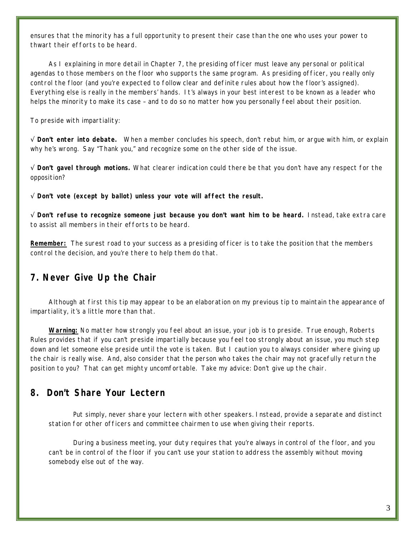ensures that the minority has a full opportunity to present their case than the one who uses your power to thwart their efforts to be heard.

As I explaining in more detail in Chapter 7, the presiding officer must leave any personal or political agendas to those members on the floor who supports the same program. As presiding officer, you really only control the floor (and you're expected to follow clear and definite rules about how the floor's assigned). Everything else is really in the members' hands. It's *always* in your best interest to be known as a leader who helps the minority to make its case – and to do so no matter how you personally feel about their position.

To preside with impartiality:

**Ö Don't enter into debate.** When a member concludes his speech, don't rebut him, or argue with him, or explain why he's wrong. Say "Thank you," and recognize some on the other side of the issue.

**Ö Don't gavel through motions.** What clearer indication could there be that you don't have any respect for the opposition?

**Ö Don't vote (except by ballot) unless your vote will affect the result.**

**Ö Don't refuse to recognize someone just because you don't want him to be heard.** Instead, take extra care to assist all members in their efforts to be heard.

**Remember:** The surest road to your success as a presiding officer is to take the position that the members control the decision, and you're there to help them do that.

## **7. Never Give Up the Chair**

Although at first this tip may appear to be an elaboration on my previous tip to maintain the appearance of impartiality, it's a little more than that.

**Warning:** No matter how strongly you feel about an issue, your job is to preside. True enough, Roberts Rules provides that if you can't preside impartially because you feel too strongly about an issue, you much step down and let someone else preside until the vote is taken. But I caution you to always consider where giving up the chair is really wise. And, also consider that the person who takes the chair may not gracefully return the position to you? That can get mighty uncomfortable. Take my advice: Don't give up the chair.

#### **8. Don't Share Your Lectern**

Put simply, never share your lectern with other speakers. Instead, provide a separate and distinct station for other officers and committee chairmen to use when giving their reports.

During a business meeting, your duty requires that you're always in control of the floor, and you can't be in control of the floor if you can't use your station to address the assembly without moving somebody else out of the way.